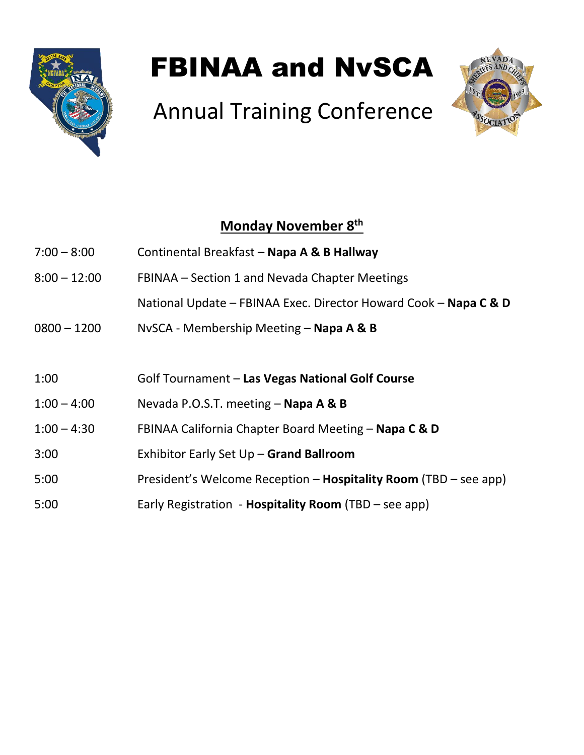

# FBINAA and NvSCA

# Annual Training Conference



## **Monday November 8 th**

| $7:00 - 8:00$  | Continental Breakfast - Napa A & B Hallway                       |  |
|----------------|------------------------------------------------------------------|--|
| $8:00 - 12:00$ | FBINAA – Section 1 and Nevada Chapter Meetings                   |  |
|                | National Update - FBINAA Exec. Director Howard Cook - Napa C & D |  |
| $0800 - 1200$  | NvSCA - Membership Meeting – Napa A & B                          |  |
|                |                                                                  |  |
| 1:00           | Golf Tournament - Las Vegas National Golf Course                 |  |
| $1:00 - 4:00$  | Nevada P.O.S.T. meeting - Napa A & B                             |  |
| $1:00 - 4:30$  | FBINAA California Chapter Board Meeting - Napa C & D             |  |
| 3:00           | Exhibitor Early Set Up - Grand Ballroom                          |  |
| 5:00           | President's Welcome Reception - Hospitality Room (TBD - see app) |  |
| 5:00           | Early Registration - Hospitality Room (TBD – see app)            |  |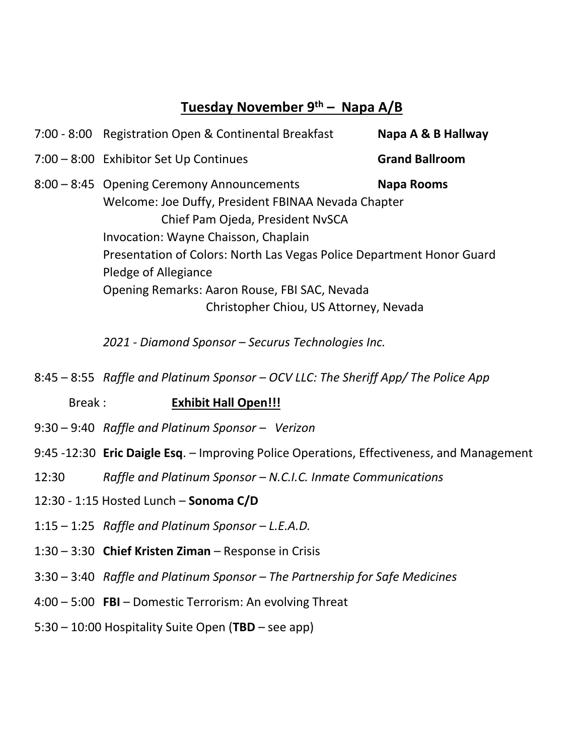### **Tuesday November 9th – Napa A/B**

| 7:00 - 8:00 Registration Open & Continental Breakfast                 | Napa A & B Hallway    |  |
|-----------------------------------------------------------------------|-----------------------|--|
| 7:00 - 8:00 Exhibitor Set Up Continues                                | <b>Grand Ballroom</b> |  |
| 8:00 - 8:45 Opening Ceremony Announcements                            | <b>Napa Rooms</b>     |  |
| Welcome: Joe Duffy, President FBINAA Nevada Chapter                   |                       |  |
| Chief Pam Ojeda, President NvSCA                                      |                       |  |
| Invocation: Wayne Chaisson, Chaplain                                  |                       |  |
| Presentation of Colors: North Las Vegas Police Department Honor Guard |                       |  |
| Pledge of Allegiance                                                  |                       |  |
| Opening Remarks: Aaron Rouse, FBI SAC, Nevada                         |                       |  |
| Christopher Chiou, US Attorney, Nevada                                |                       |  |
|                                                                       |                       |  |

*2021 - Diamond Sponsor – Securus Technologies Inc.*

8:45 – 8:55 *Raffle and Platinum Sponsor – OCV LLC: The Sheriff App/ The Police App*

Break : **Exhibit Hall Open!!!**

- 9:30 9:40 *Raffle and Platinum Sponsor – Verizon*
- 9:45 -12:30 **Eric Daigle Esq**. Improving Police Operations, Effectiveness, and Management
- 12:30 *Raffle and Platinum Sponsor – N.C.I.C. Inmate Communications*
- 12:30 1:15 Hosted Lunch **Sonoma C/D**
- 1:15 1:25 *Raffle and Platinum Sponsor – L.E.A.D.*
- 1:30 3:30 **Chief Kristen Ziman** Response in Crisis
- 3:30 3:40 *Raffle and Platinum Sponsor – The Partnership for Safe Medicines*
- 4:00 5:00 **FBI** Domestic Terrorism: An evolving Threat
- 5:30 10:00 Hospitality Suite Open (**TBD** see app)